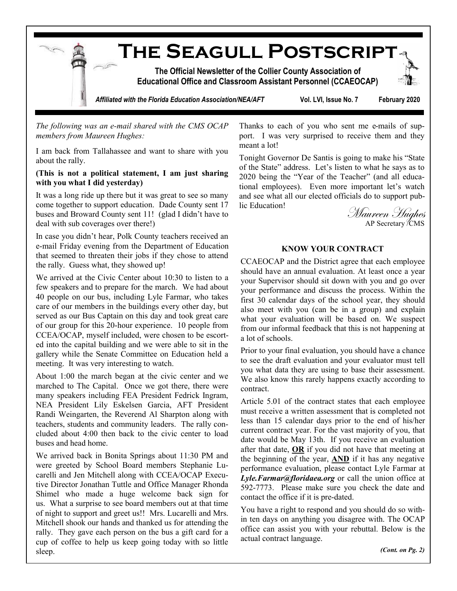

*The following was an e-mail shared with the CMS OCAP members from Maureen Hughes:*

I am back from Tallahassee and want to share with you about the rally.

### **(This is not a political statement, I am just sharing with you what I did yesterday)**

It was a long ride up there but it was great to see so many come together to support education. Dade County sent 17 buses and Broward County sent 11! (glad I didn't have to deal with sub coverages over there!)

In case you didn't hear, Polk County teachers received an e-mail Friday evening from the Department of Education that seemed to threaten their jobs if they chose to attend the rally. Guess what, they showed up!

We arrived at the Civic Center about 10:30 to listen to a few speakers and to prepare for the march. We had about 40 people on our bus, including Lyle Farmar, who takes care of our members in the buildings every other day, but served as our Bus Captain on this day and took great care of our group for this 20-hour experience. 10 people from CCEA/OCAP, myself included, were chosen to be escorted into the capital building and we were able to sit in the gallery while the Senate Committee on Education held a meeting. It was very interesting to watch.

About 1:00 the march began at the civic center and we marched to The Capital. Once we got there, there were many speakers including FEA President Fedrick Ingram, NEA President Lily Eskelsen Garcia, AFT President Randi Weingarten, the Reverend Al Sharpton along with teachers, students and community leaders. The rally concluded about 4:00 then back to the civic center to load buses and head home.

We arrived back in Bonita Springs about 11:30 PM and were greeted by School Board members Stephanie Lucarelli and Jen Mitchell along with CCEA/OCAP Executive Director Jonathan Tuttle and Office Manager Rhonda Shimel who made a huge welcome back sign for us. What a surprise to see board members out at that time of night to support and greet us!! Mrs. Lucarelli and Mrs. Mitchell shook our hands and thanked us for attending the rally. They gave each person on the bus a gift card for a cup of coffee to help us keep going today with so little sleep.

Thanks to each of you who sent me e-mails of support. I was very surprised to receive them and they meant a lot!

Tonight Governor De Santis is going to make his "State of the State" address. Let's listen to what he says as to 2020 being the "Year of the Teacher" (and all educational employees). Even more important let's watch and see what all our elected officials do to support public Education!<br>Maureen Hughes

AP Secretary /CMS

#### **KNOW YOUR CONTRACT**

CCAEOCAP and the District agree that each employee should have an annual evaluation. At least once a year your Supervisor should sit down with you and go over your performance and discuss the process. Within the first 30 calendar days of the school year, they should also meet with you (can be in a group) and explain what your evaluation will be based on. We suspect from our informal feedback that this is not happening at a lot of schools.

Prior to your final evaluation, you should have a chance to see the draft evaluation and your evaluator must tell you what data they are using to base their assessment. We also know this rarely happens exactly according to contract.

Article 5.01 of the contract states that each employee must receive a written assessment that is completed not less than 15 calendar days prior to the end of his/her current contract year. For the vast majority of you, that date would be May 13th. If you receive an evaluation after that date, **OR** if you did not have that meeting at the beginning of the year, **AND** if it has any negative performance evaluation, please contact Lyle Farmar at *[Lyle.Farmar@floridaea.org](mailto:Lyle.Farmar@floridaea.org)* or call the union office at 592-7773. Please make sure you check the date and contact the office if it is pre-dated.

You have a right to respond and you should do so within ten days on anything you disagree with. The OCAP office can assist you with your rebuttal. Below is the actual contract language.